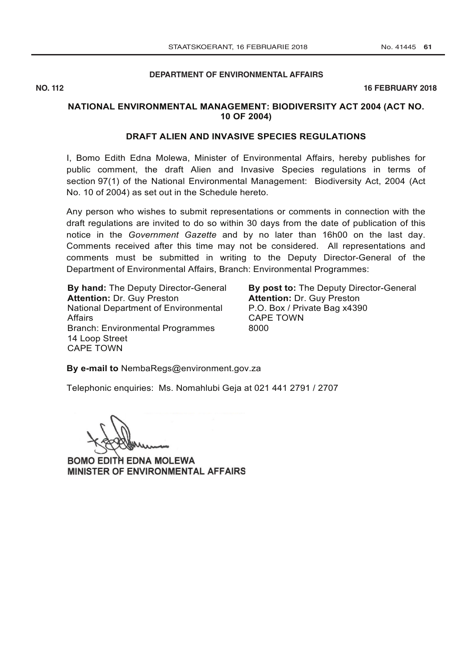# **[DEPARTMENT OF ENVIRONMENTAL AFFAIRS](http://www.greengazette.co.za/departments/envonmental)**

**NO. 112** 16 FEBRUARY 2018

## **NATIONAL ENVIRONMENTAL MANAGEMENT: BIODIVERSITY ACT 2004 (ACT NO. 10 OF 2004)**

#### **DRAFT ALIEN AND INVASIVE SPECIES REGULATIONS**

I, Bomo Edith Edna Molewa, Minister of Environmental Affairs, hereby publishes for public comment, the draft Alien and Invasive Species regulations in terms of section 97(1) of the National Environmental Management: Biodiversity Act, 2004 (Act No. 10 of 2004) as set out in the Schedule hereto.

Any person who wishes to submit representations or comments in connection with the draft regulations are invited to do so within 30 days from the date of publication of this notice in the *[Government Gazette](http://www.greengazette.co.za/government-gazette)* and by no later than 16h00 on the last day. Comments received after this time may not be considered. All representations and comments must be submitted in writing to the Deputy Director-General of the [Department of Environmental Affairs,](http://www.greengazette.co.za/departments/envonmental) Branch: Environmental Programmes:

**By hand:** The Deputy Director-General **Attention:** Dr. Guy Preston National [Department of Environmental](http://www.greengazette.co.za/departments/envonmental)  [Affairs](http://www.greengazette.co.za/departments/envonmental) Branch: Environmental Programmes 14 Loop Street CAPE TOWN

**By post to:** The Deputy Director-General **Attention:** Dr. Guy Preston P.O. Box / Private Bag x4390 CAPE TOWN 8000

**By e-mail to** NembaRegs@environment.gov.za

Telephonic enquiries: Ms. Nomahlubi Geja at 021 441 2791 / 2707

BOMO EDITH EDNA MOLEWA MINISTER OF ENVIRONMENTAL AFFAIRS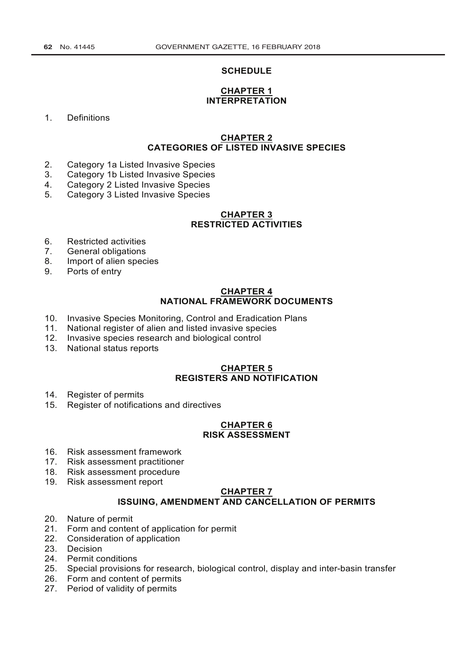#### **SCHEDULE**

#### **CHAPTER 1 INTERPRETATION**

1. Definitions

## **CHAPTER 2 CATEGORIES OF LISTED INVASIVE SPECIES**

- 2. Category 1a Listed Invasive Species
- 3. Category 1b Listed Invasive Species
- 4. Category 2 Listed Invasive Species
- 5. Category 3 Listed Invasive Species

## **CHAPTER 3 RESTRICTED ACTIVITIES**

- 6. Restricted activities<br>7. General obligations
- General obligations
- 8. Import of alien species
- 9. Ports of entry

#### **CHAPTER 4 NATIONAL FRAMEWORK DOCUMENTS**

- 10. Invasive Species Monitoring, Control and Eradication Plans
- 11. National register of alien and listed invasive species
- 12. Invasive species research and biological control
- 13. National status reports

## **CHAPTER 5 REGISTERS AND NOTIFICATION**

- 14. Register of permits
- 15. Register of notifications and directives

#### **CHAPTER 6 RISK ASSESSMENT**

- 16. Risk assessment framework
- 17. Risk assessment practitioner
- 18. Risk assessment procedure
- 19. Risk assessment report

# **CHAPTER 7 ISSUING, AMENDMENT AND CANCELLATION OF PERMITS**

- 20. Nature of permit<br>21. Form and conter
- Form and content of application for permit
- 22. Consideration of application
- 23. Decision
- 24. Permit conditions
- 25. Special provisions for research, biological control, display and inter-basin transfer
- 26. Form and content of permits
- 27. Period of validity of permits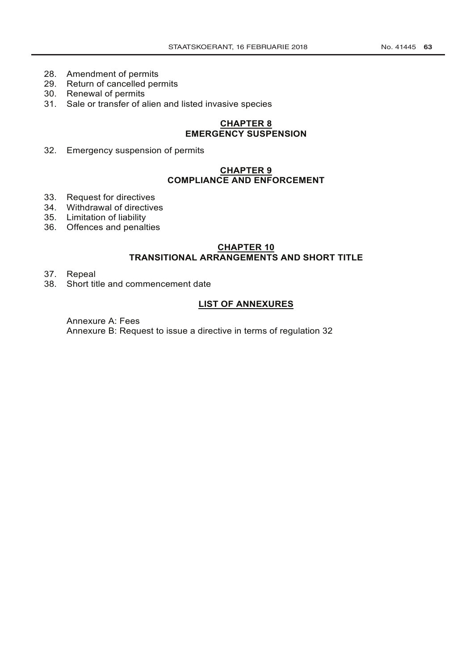- 28. Amendment of permits
- 29. Return of cancelled permits
- 30. Renewal of permits
- 31. Sale or transfer of alien and listed invasive species

# **CHAPTER 8 EMERGENCY SUSPENSION**

32. Emergency suspension of permits

# **CHAPTER 9 COMPLIANCE AND ENFORCEMENT**

- 33. Request for directives
- 34. Withdrawal of directives
- 35. Limitation of liability
- 36. Offences and penalties

# **CHAPTER 10**

# **TRANSITIONAL ARRANGEMENTS AND SHORT TITLE**

- 37. Repeal<br>38. Short tit
- Short title and commencement date

## **LIST OF ANNEXURES**

Annexure A: Fees Annexure B: Request to issue a directive in terms of regulation 32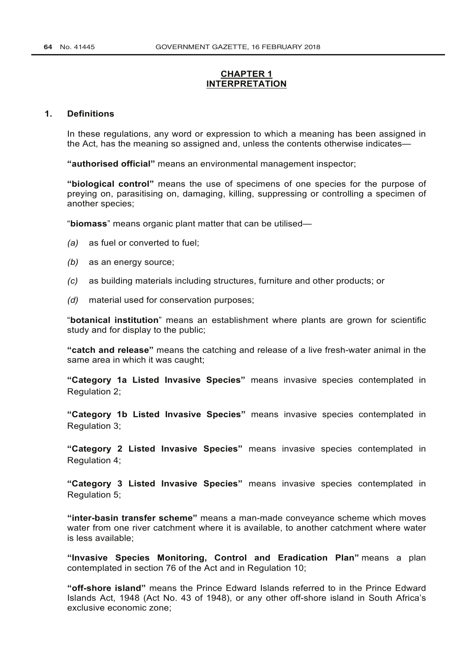# **CHAPTER 1 INTERPRETATION**

#### **1. Definitions**

In these regulations, any word or expression to which a meaning has been assigned in the Act, has the meaning so assigned and, unless the contents otherwise indicates—

**"authorised official"** means an environmental management inspector;

**"biological control"** means the use of specimens of one species for the purpose of preying on, parasitising on, damaging, killing, suppressing or controlling a specimen of another species;

"**biomass**" means organic plant matter that can be utilised—

- *(a)* as fuel or converted to fuel;
- *(b)* as an energy source;
- *(c)* as building materials including structures, furniture and other products; or
- *(d)* material used for conservation purposes;

"**botanical institution**" means an establishment where plants are grown for scientific study and for display to the public;

**"catch and release"** means the catching and release of a live fresh-water animal in the same area in which it was caught;

**"Category 1a Listed Invasive Species"** means invasive species contemplated in Regulation 2;

**"Category 1b Listed Invasive Species"** means invasive species contemplated in Regulation 3;

**"Category 2 Listed Invasive Species"** means invasive species contemplated in Regulation 4;

**"Category 3 Listed Invasive Species"** means invasive species contemplated in Regulation 5;

**"inter-basin transfer scheme"** means a man-made conveyance scheme which moves water from one river catchment where it is available, to another catchment where water is less available;

**"Invasive Species Monitoring, Control and Eradication Plan"** means a plan contemplated in section 76 of the Act and in Regulation 10;

**"off-shore island"** means the Prince Edward Islands referred to in the [Prince Edward](http://www.greengazette.co.za/acts/prince-edward-islands-act_1948-043) [Islands Act,](http://www.greengazette.co.za/acts/prince-edward-islands-act_1948-043) 1948 (Act No. 43 of 1948), or any other off-shore island in South Africa's exclusive economic zone;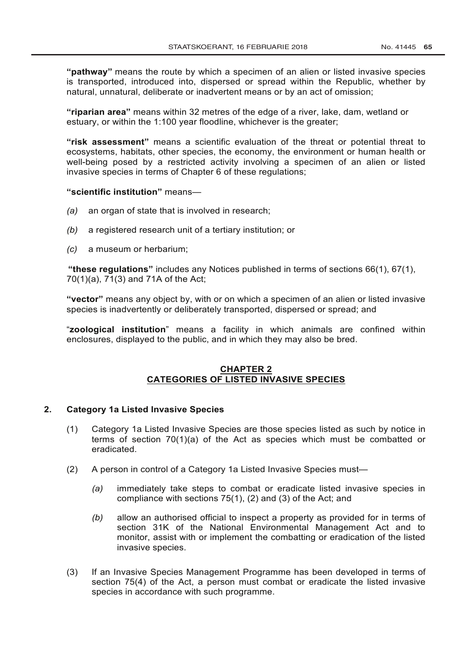**"pathway"** means the route by which a specimen of an alien or listed invasive species is transported, introduced into, dispersed or spread within the Republic, whether by natural, unnatural, deliberate or inadvertent means or by an act of omission;

**"riparian area"** means within 32 metres of the edge of a river, lake, dam, wetland or estuary, or within the 1:100 year floodline, whichever is the greater;

**"risk assessment"** means a scientific evaluation of the threat or potential threat to ecosystems, habitats, other species, the economy, the environment or human health or well-being posed by a restricted activity involving a specimen of an alien or listed invasive species in terms of Chapter 6 of these regulations;

#### **"scientific institution"** means—

- *(a)* an organ of state that is involved in research;
- *(b)* a registered research unit of a tertiary institution; or
- *(c)* a museum or herbarium;

**"these regulations"** includes any Notices published in terms of sections 66(1), 67(1), 70(1)(a), 71(3) and 71A of the Act;

**"vector"** means any object by, with or on which a specimen of an alien or listed invasive species is inadvertently or deliberately transported, dispersed or spread; and

"**zoological institution**" means a facility in which animals are confined within enclosures, displayed to the public, and in which they may also be bred.

# **CHAPTER 2 CATEGORIES OF LISTED INVASIVE SPECIES**

## **2. Category 1a Listed Invasive Species**

- (1) Category 1a Listed Invasive Species are those species listed as such by notice in terms of section 70(1)(a) of the Act as species which must be combatted or eradicated.
- (2) A person in control of a Category 1a Listed Invasive Species must—
	- *(a)* immediately take steps to combat or eradicate listed invasive species in compliance with sections 75(1), (2) and (3) of the Act; and
	- *(b)* allow an authorised official to inspect a property as provided for in terms of section 31K of the [National Environmental Management](http://www.greengazette.co.za/acts/national-environmental-management-act_1998-107) Act and to monitor, assist with or implement the combatting or eradication of the listed invasive species.
- (3) If an Invasive Species Management Programme has been developed in terms of section 75(4) of the Act, a person must combat or eradicate the listed invasive species in accordance with such programme.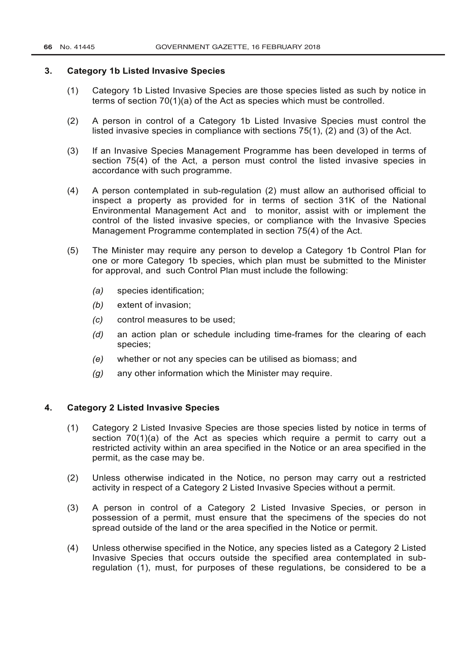#### **3. Category 1b Listed Invasive Species**

- (1) Category 1b Listed Invasive Species are those species listed as such by notice in terms of section 70(1)(a) of the Act as species which must be controlled.
- (2) A person in control of a Category 1b Listed Invasive Species must control the listed invasive species in compliance with sections 75(1), (2) and (3) of the Act.
- (3) If an Invasive Species Management Programme has been developed in terms of section 75(4) of the Act, a person must control the listed invasive species in accordance with such programme.
- (4) A person contemplated in sub-regulation (2) must allow an authorised official to inspect a property as provided for in terms of section 31K of the [National](http://www.greengazette.co.za/acts/national-environmental-management-act_1998-107) [Environmental Management Act](http://www.greengazette.co.za/acts/national-environmental-management-act_1998-107) and to monitor, assist with or implement the control of the listed invasive species, or compliance with the Invasive Species Management Programme contemplated in section 75(4) of the Act.
- (5) The Minister may require any person to develop a Category 1b Control Plan for one or more Category 1b species, which plan must be submitted to the Minister for approval, and such Control Plan must include the following:
	- *(a)* species identification;
	- *(b)* extent of invasion;
	- *(c)* control measures to be used;
	- *(d)* an action plan or schedule including time-frames for the clearing of each species;
	- *(e)* whether or not any species can be utilised as biomass; and
	- *(g)* any other information which the Minister may require.

## **4. Category 2 Listed Invasive Species**

- (1) Category 2 Listed Invasive Species are those species listed by notice in terms of section  $70(1)(a)$  of the Act as species which require a permit to carry out a restricted activity within an area specified in the Notice or an area specified in the permit, as the case may be.
- (2) Unless otherwise indicated in the Notice, no person may carry out a restricted activity in respect of a Category 2 Listed Invasive Species without a permit.
- (3) A person in control of a Category 2 Listed Invasive Species, or person in possession of a permit, must ensure that the specimens of the species do not spread outside of the land or the area specified in the Notice or permit.
- (4) Unless otherwise specified in the Notice, any species listed as a Category 2 Listed Invasive Species that occurs outside the specified area contemplated in subregulation (1), must, for purposes of these regulations, be considered to be a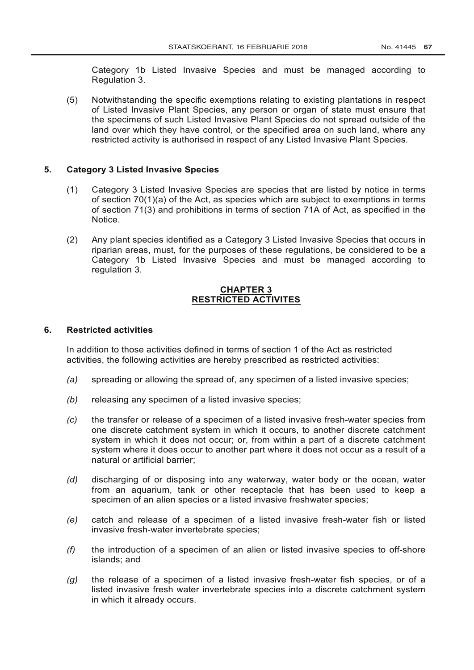Category 1b Listed Invasive Species and must be managed according to Regulation 3.

(5) Notwithstanding the specific exemptions relating to existing plantations in respect of Listed Invasive Plant Species, any person or organ of state must ensure that the specimens of such Listed Invasive Plant Species do not spread outside of the land over which they have control, or the specified area on such land, where any restricted activity is authorised in respect of any Listed Invasive Plant Species.

## **5. Category 3 Listed Invasive Species**

- (1) Category 3 Listed Invasive Species are species that are listed by notice in terms of section 70(1)(a) of the Act, as species which are subject to exemptions in terms of section 71(3) and prohibitions in terms of section 71A of Act, as specified in the Notice.
- (2) Any plant species identified as a Category 3 Listed Invasive Species that occurs in riparian areas, must, for the purposes of these regulations, be considered to be a Category 1b Listed Invasive Species and must be managed according to regulation 3.

## **CHAPTER 3 RESTRICTED ACTIVITES**

#### **6. Restricted activities**

In addition to those activities defined in terms of section 1 of the Act as restricted activities, the following activities are hereby prescribed as restricted activities:

- *(a)* spreading or allowing the spread of, any specimen of a listed invasive species;
- *(b)* releasing any specimen of a listed invasive species;
- *(c)* the transfer or release of a specimen of a listed invasive fresh-water species from one discrete catchment system in which it occurs, to another discrete catchment system in which it does not occur; or, from within a part of a discrete catchment system where it does occur to another part where it does not occur as a result of a natural or artificial barrier;
- *(d)* discharging of or disposing into any waterway, water body or the ocean, water from an aquarium, tank or other receptacle that has been used to keep a specimen of an alien species or a listed invasive freshwater species;
- *(e)* catch and release of a specimen of a listed invasive fresh-water fish or listed invasive fresh-water invertebrate species;
- *(f)* the introduction of a specimen of an alien or listed invasive species to off-shore islands; and
- *(g)* the release of a specimen of a listed invasive fresh-water fish species, or of a listed invasive fresh water invertebrate species into a discrete catchment system in which it already occurs.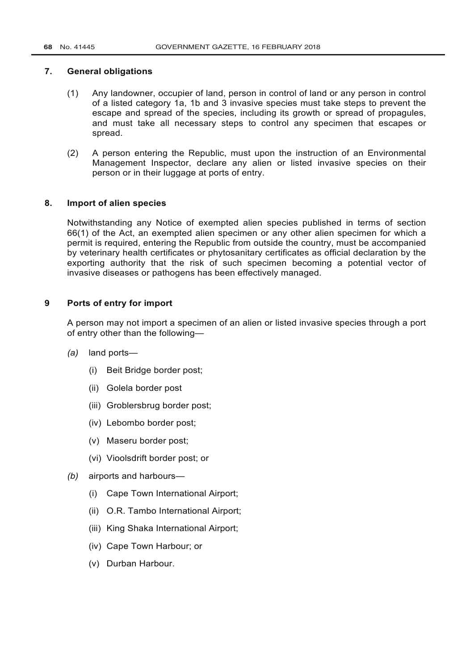#### **7. General obligations**

- (1) Any landowner, occupier of land, person in control of land or any person in control of a listed category 1a, 1b and 3 invasive species must take steps to prevent the escape and spread of the species, including its growth or spread of propagules, and must take all necessary steps to control any specimen that escapes or spread.
- (2) A person entering the Republic, must upon the instruction of an Environmental Management Inspector, declare any alien or listed invasive species on their person or in their luggage at ports of entry.

#### **8. Import of alien species**

Notwithstanding any Notice of exempted alien species published in terms of section 66(1) of the Act, an exempted alien specimen or any other alien specimen for which a permit is required, entering the Republic from outside the country, must be accompanied by veterinary health certificates or phytosanitary certificates as official declaration by the exporting authority that the risk of such specimen becoming a potential vector of invasive diseases or pathogens has been effectively managed.

## **9 Ports of entry for import**

A person may not import a specimen of an alien or listed invasive species through a port of entry other than the following—

- *(a)* land ports—
	- (i) Beit Bridge border post;
	- (ii) Golela border post
	- (iii) Groblersbrug border post;
	- (iv) Lebombo border post;
	- (v) Maseru border post;
	- (vi) Vioolsdrift border post; or
- *(b)* airports and harbours—
	- (i) Cape Town International Airport;
	- (ii) O.R. Tambo International Airport;
	- (iii) King Shaka International Airport;
	- (iv) Cape Town Harbour; or
	- (v) Durban Harbour.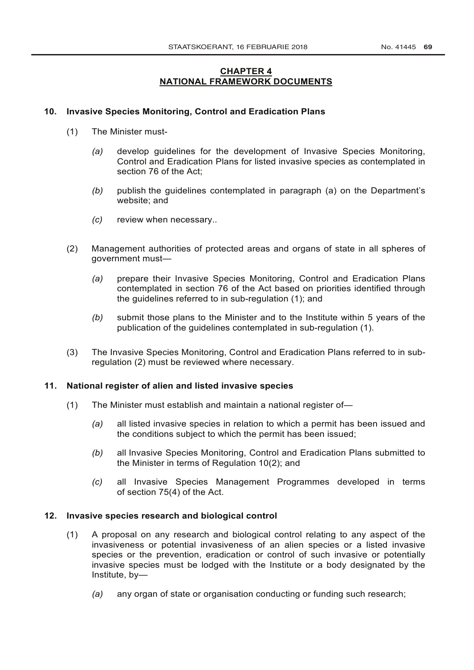# **CHAPTER 4 NATIONAL FRAMEWORK DOCUMENTS**

## **10. Invasive Species Monitoring, Control and Eradication Plans**

- (1) The Minister must-
	- *(a)* develop guidelines for the development of Invasive Species Monitoring, Control and Eradication Plans for listed invasive species as contemplated in section 76 of the Act;
	- *(b)* publish the guidelines contemplated in paragraph (a) on the Department's website; and
	- *(c)* review when necessary..
- (2) Management authorities of protected areas and organs of state in all spheres of government must—
	- *(a)* prepare their Invasive Species Monitoring, Control and Eradication Plans contemplated in section 76 of the Act based on priorities identified through the guidelines referred to in sub-regulation (1); and
	- *(b)* submit those plans to the Minister and to the Institute within 5 years of the publication of the guidelines contemplated in sub-regulation (1).
- (3) The Invasive Species Monitoring, Control and Eradication Plans referred to in subregulation (2) must be reviewed where necessary.

## **11. National register of alien and listed invasive species**

- (1) The Minister must establish and maintain a national register of—
	- *(a)* all listed invasive species in relation to which a permit has been issued and the conditions subject to which the permit has been issued;
	- *(b)* all Invasive Species Monitoring, Control and Eradication Plans submitted to the Minister in terms of Regulation 10(2); and
	- *(c)* all Invasive Species Management Programmes developed in terms of section 75(4) of the Act.

## **12. Invasive species research and biological control**

- (1) A proposal on any research and biological control relating to any aspect of the invasiveness or potential invasiveness of an alien species or a listed invasive species or the prevention, eradication or control of such invasive or potentially invasive species must be lodged with the Institute or a body designated by the Institute, by—
	- *(a)* any organ of state or organisation conducting or funding such research;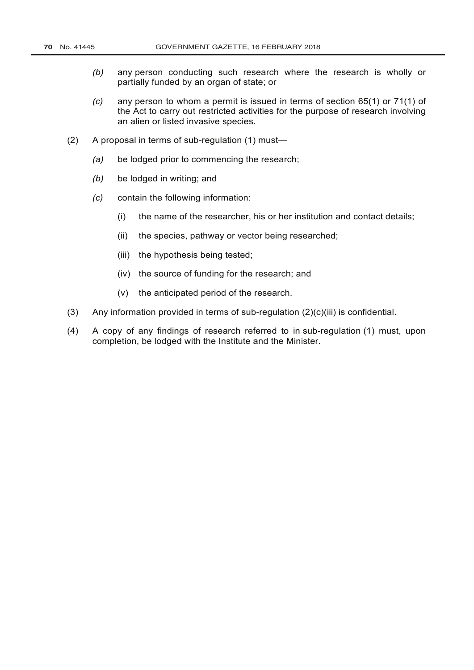- *(b)* any person conducting such research where the research is wholly or partially funded by an organ of state; or
- *(c)* any person to whom a permit is issued in terms of section 65(1) or 71(1) of the Act to carry out restricted activities for the purpose of research involving an alien or listed invasive species.
- (2) A proposal in terms of sub-regulation (1) must—
	- *(a)* be lodged prior to commencing the research;
	- *(b)* be lodged in writing; and
	- *(c)* contain the following information:
		- (i) the name of the researcher, his or her institution and contact details;
		- (ii) the species, pathway or vector being researched;
		- (iii) the hypothesis being tested;
		- (iv) the source of funding for the research; and
		- (v) the anticipated period of the research.
- (3) Any information provided in terms of sub-regulation (2)(c)(iii) is confidential.
- (4) A copy of any findings of research referred to in sub-regulation (1) must, upon completion, be lodged with the Institute and the Minister.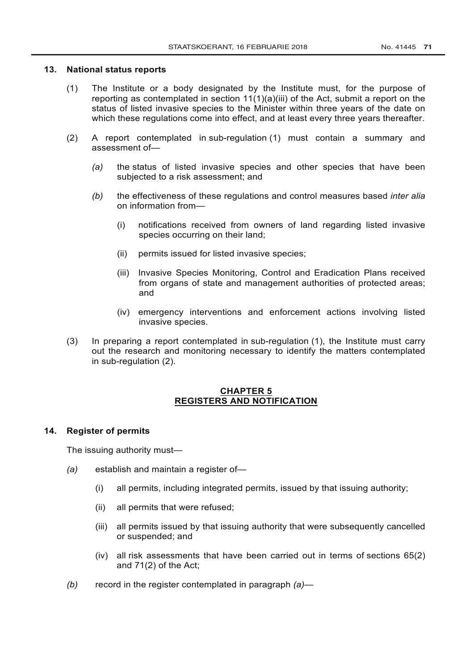## **13. National status reports**

- (1) The Institute or a body designated by the Institute must, for the purpose of reporting as contemplated in section 11(1)(a)(iii) of the Act, submit a report on the status of listed invasive species to the Minister within three years of the date on which these regulations come into effect, and at least every three years thereafter.
- (2) A report contemplated in sub-regulation (1) must contain a summary and assessment of—
	- *(a)* the status of listed invasive species and other species that have been subjected to a risk assessment; and
	- *(b)* the effectiveness of these regulations and control measures based *inter alia* on information from—
		- (i) notifications received from owners of land regarding listed invasive species occurring on their land;
		- (ii) permits issued for listed invasive species;
		- (iii) Invasive Species Monitoring, Control and Eradication Plans received from organs of state and management authorities of protected areas; and
		- (iv) emergency interventions and enforcement actions involving listed invasive species.
- (3) In preparing a report contemplated in sub-regulation (1), the Institute must carry out the research and monitoring necessary to identify the matters contemplated in sub-regulation (2).

## **CHAPTER 5 REGISTERS AND NOTIFICATION**

## **14. Register of permits**

The issuing authority must—

- *(a)* establish and maintain a register of—
	- (i) all permits, including integrated permits, issued by that issuing authority;
	- (ii) all permits that were refused;
	- (iii) all permits issued by that issuing authority that were subsequently cancelled or suspended; and
	- (iv) all risk assessments that have been carried out in terms of sections 65(2) and 71(2) of the Act;
- *(b)* record in the register contemplated in paragraph *(a)*—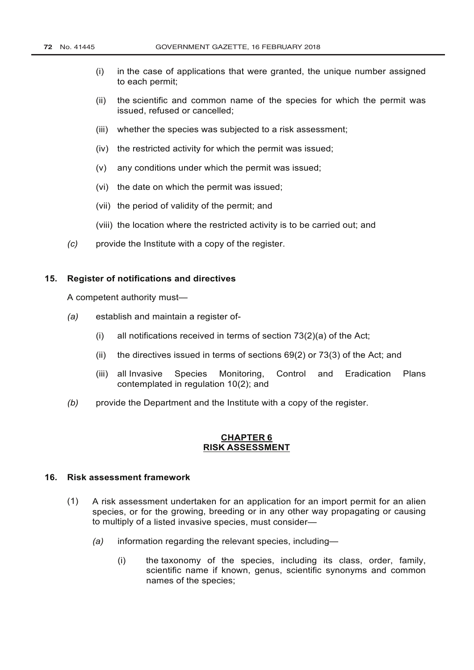- (i) in the case of applications that were granted, the unique number assigned to each permit;
- (ii) the scientific and common name of the species for which the permit was issued, refused or cancelled;
- (iii) whether the species was subjected to a risk assessment;
- (iv) the restricted activity for which the permit was issued;
- (v) any conditions under which the permit was issued;
- (vi) the date on which the permit was issued;
- (vii) the period of validity of the permit; and
- (viii) the location where the restricted activity is to be carried out; and
- *(c)* provide the Institute with a copy of the register.

#### **15. Register of notifications and directives**

A competent authority must—

- *(a)* establish and maintain a register of-
	- (i) all notifications received in terms of section 73(2)(a) of the Act;
	- (ii) the directives issued in terms of sections 69(2) or 73(3) of the Act; and
	- (iii) all Invasive Species Monitoring, Control and Eradication Plans contemplated in regulation 10(2); and
- *(b)* provide the Department and the Institute with a copy of the register.

## **CHAPTER 6 RISK ASSESSMENT**

## **16. Risk assessment framework**

- (1) A risk assessment undertaken for an application for an import permit for an alien species, or for the growing, breeding or in any other way propagating or causing to multiply of a listed invasive species, must consider—
	- *(a)* information regarding the relevant species, including—
		- (i) the taxonomy of the species, including its class, order, family, scientific name if known, genus, scientific synonyms and common names of the species;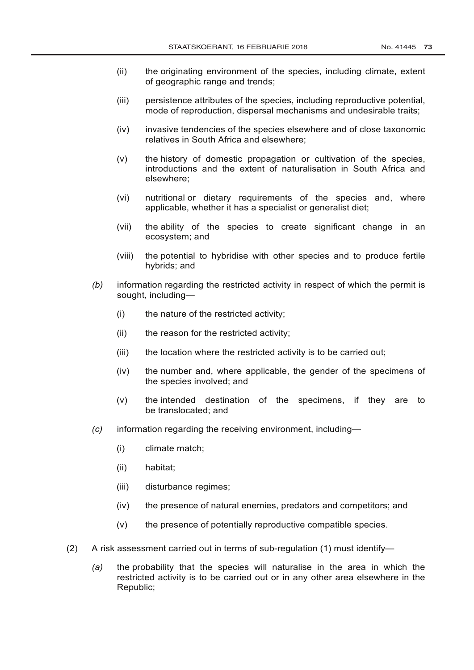- (ii) the originating environment of the species, including climate, extent of geographic range and trends;
- (iii) persistence attributes of the species, including reproductive potential, mode of reproduction, dispersal mechanisms and undesirable traits;
- (iv) invasive tendencies of the species elsewhere and of close taxonomic relatives in South Africa and elsewhere;
- (v) the history of domestic propagation or cultivation of the species, introductions and the extent of naturalisation in South Africa and elsewhere;
- (vi) nutritional or dietary requirements of the species and, where applicable, whether it has a specialist or generalist diet;
- (vii) the ability of the species to create significant change in an ecosystem; and
- (viii) the potential to hybridise with other species and to produce fertile hybrids; and
- *(b)* information regarding the restricted activity in respect of which the permit is sought, including—
	- (i) the nature of the restricted activity;
	- (ii) the reason for the restricted activity;
	- (iii) the location where the restricted activity is to be carried out;
	- (iv) the number and, where applicable, the gender of the specimens of the species involved; and
	- (v) the intended destination of the specimens, if they are to be translocated; and
- *(c)* information regarding the receiving environment, including—
	- (i) climate match;
	- (ii) habitat;
	- (iii) disturbance regimes;
	- (iv) the presence of natural enemies, predators and competitors; and
	- (v) the presence of potentially reproductive compatible species.
- (2) A risk assessment carried out in terms of sub-regulation (1) must identify—
	- *(a)* the probability that the species will naturalise in the area in which the restricted activity is to be carried out or in any other area elsewhere in the Republic;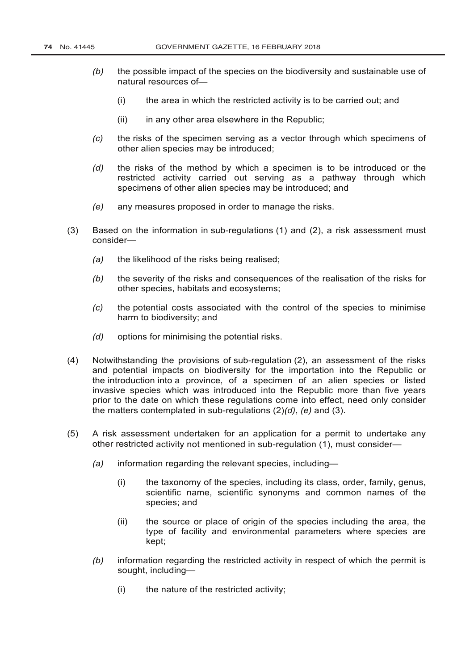- *(b)* the possible impact of the species on the biodiversity and sustainable use of natural resources of—
	- (i) the area in which the restricted activity is to be carried out; and
	- $(ii)$  in any other area elsewhere in the Republic:
- *(c)* the risks of the specimen serving as a vector through which specimens of other alien species may be introduced;
- *(d)* the risks of the method by which a specimen is to be introduced or the restricted activity carried out serving as a pathway through which specimens of other alien species may be introduced; and
- *(e)* any measures proposed in order to manage the risks.
- (3) Based on the information in sub-regulations (1) and (2), a risk assessment must consider—
	- *(a)* the likelihood of the risks being realised;
	- *(b)* the severity of the risks and consequences of the realisation of the risks for other species, habitats and ecosystems;
	- *(c)* the potential costs associated with the control of the species to minimise harm to biodiversity; and
	- *(d)* options for minimising the potential risks.
- (4) Notwithstanding the provisions of sub-regulation (2), an assessment of the risks and potential impacts on biodiversity for the importation into the Republic or the introduction into a province, of a specimen of an alien species or listed invasive species which was introduced into the Republic more than five years prior to the date on which these regulations come into effect, need only consider the matters contemplated in sub-regulations (2)*(d)*, *(e)* and (3).
- (5) A risk assessment undertaken for an application for a permit to undertake any other restricted activity not mentioned in sub-regulation (1), must consider—
	- *(a)* information regarding the relevant species, including—
		- (i) the taxonomy of the species, including its class, order, family, genus, scientific name, scientific synonyms and common names of the species; and
		- (ii) the source or place of origin of the species including the area, the type of facility and environmental parameters where species are kept;
	- *(b)* information regarding the restricted activity in respect of which the permit is sought, including—
		- (i) the nature of the restricted activity;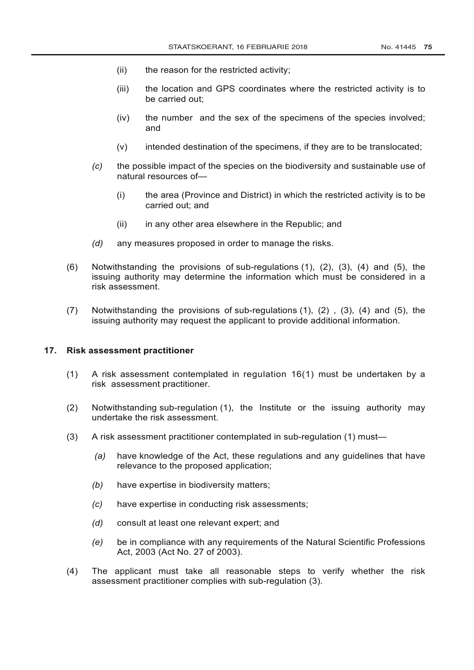- (ii) the reason for the restricted activity;
- (iii) the location and GPS coordinates where the restricted activity is to be carried out;
- (iv) the number and the sex of the specimens of the species involved; and
- (v) intended destination of the specimens, if they are to be translocated;
- *(c)* the possible impact of the species on the biodiversity and sustainable use of natural resources of—
	- (i) the area (Province and District) in which the restricted activity is to be carried out; and
	- (ii) in any other area elsewhere in the Republic; and
- *(d)* any measures proposed in order to manage the risks.
- (6) Notwithstanding the provisions of sub-regulations (1), (2), (3), (4) and (5), the issuing authority may determine the information which must be considered in a risk assessment.
- (7) Notwithstanding the provisions of sub-regulations (1), (2) , (3), (4) and (5), the issuing authority may request the applicant to provide additional information.

#### **17. Risk assessment practitioner**

- (1) A risk assessment contemplated in regulation 16(1) must be undertaken by a risk assessment practitioner.
- (2) Notwithstanding sub-regulation (1), the Institute or the issuing authority may undertake the risk assessment.
- (3) A risk assessment practitioner contemplated in sub-regulation (1) must—
	- *(a)* have knowledge of the Act, these regulations and any guidelines that have relevance to the proposed application;
	- *(b)* have expertise in biodiversity matters;
	- *(c)* have expertise in conducting risk assessments;
	- *(d)* consult at least one relevant expert; and
	- *(e)* be in compliance with any requirements of the [Natural Scientific Professions](http://www.greengazette.co.za/acts/natural-scientific-professions-act_2003-027) [Act,](http://www.greengazette.co.za/acts/natural-scientific-professions-act_2003-027) 2003 (Act No. 27 of 2003).
- (4) The applicant must take all reasonable steps to verify whether the risk assessment practitioner complies with sub-regulation (3).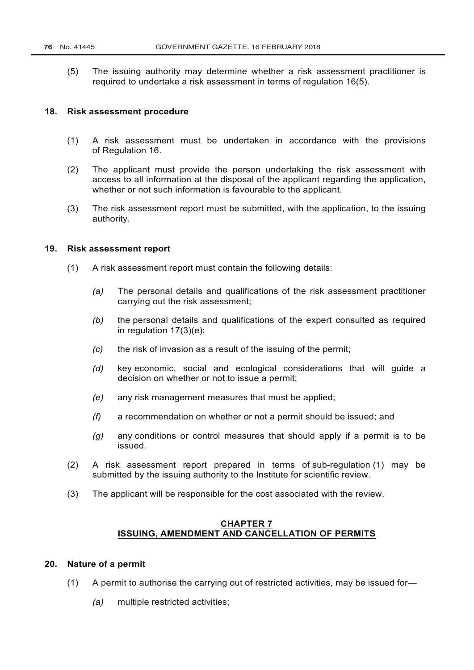(5) The issuing authority may determine whether a risk assessment practitioner is required to undertake a risk assessment in terms of regulation 16(5).

#### **18. Risk assessment procedure**

- (1) A risk assessment must be undertaken in accordance with the provisions of Regulation 16.
- (2) The applicant must provide the person undertaking the risk assessment with access to all information at the disposal of the applicant regarding the application, whether or not such information is favourable to the applicant.
- (3) The risk assessment report must be submitted, with the application, to the issuing authority.

## **19. Risk assessment report**

- (1) A risk assessment report must contain the following details:
	- *(a)* The personal details and qualifications of the risk assessment practitioner carrying out the risk assessment;
	- *(b)* the personal details and qualifications of the expert consulted as required in regulation 17(3)(e);
	- *(c)* the risk of invasion as a result of the issuing of the permit;
	- *(d)* key economic, social and ecological considerations that will guide a decision on whether or not to issue a permit;
	- *(e)* any risk management measures that must be applied;
	- *(f)* a recommendation on whether or not a permit should be issued; and
	- *(g)* any conditions or control measures that should apply if a permit is to be issued.
- (2) A risk assessment report prepared in terms of sub-regulation (1) may be submitted by the issuing authority to the Institute for scientific review.
- (3) The applicant will be responsible for the cost associated with the review.

## **CHAPTER 7 ISSUING, AMENDMENT AND CANCELLATION OF PERMITS**

## **20. Nature of a permit**

- (1) A permit to authorise the carrying out of restricted activities, may be issued for—
	- *(a)* multiple restricted activities;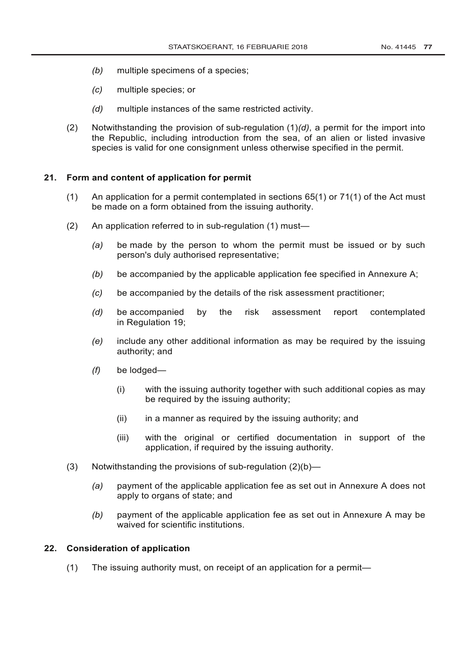- *(b)* multiple specimens of a species;
- *(c)* multiple species; or
- *(d)* multiple instances of the same restricted activity.
- (2) Notwithstanding the provision of sub-regulation (1)*(d)*, a permit for the import into the Republic, including introduction from the sea, of an alien or listed invasive species is valid for one consignment unless otherwise specified in the permit.

## **21. Form and content of application for permit**

- (1) An application for a permit contemplated in sections 65(1) or 71(1) of the Act must be made on a form obtained from the issuing authority.
- (2) An application referred to in sub-regulation (1) must—
	- *(a)* be made by the person to whom the permit must be issued or by such person's duly authorised representative;
	- *(b)* be accompanied by the applicable application fee specified in Annexure A;
	- *(c)* be accompanied by the details of the risk assessment practitioner;
	- *(d)* be accompanied by the risk assessment report contemplated in Regulation 19;
	- *(e)* include any other additional information as may be required by the issuing authority; and
	- *(f)* be lodged—
		- (i) with the issuing authority together with such additional copies as may be required by the issuing authority;
		- $(ii)$  in a manner as required by the issuing authority; and
		- (iii) with the original or certified documentation in support of the application, if required by the issuing authority.
- (3) Notwithstanding the provisions of sub-regulation (2)(b)—
	- *(a)* payment of the applicable application fee as set out in Annexure A does not apply to organs of state; and
	- *(b)* payment of the applicable application fee as set out in Annexure A may be waived for scientific institutions.

## **22. Consideration of application**

(1) The issuing authority must, on receipt of an application for a permit—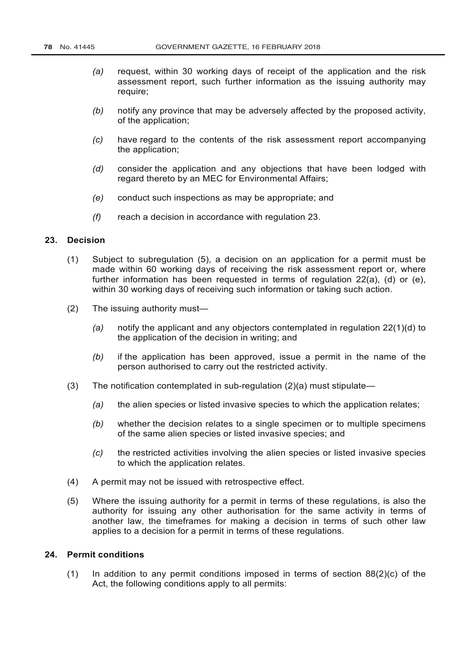- *(a)* request, within 30 working days of receipt of the application and the risk assessment report, such further information as the issuing authority may require;
- *(b)* notify any province that may be adversely affected by the proposed activity, of the application;
- *(c)* have regard to the contents of the risk assessment report accompanying the application;
- *(d)* consider the application and any objections that have been lodged with regard thereto by an MEC for Environmental Affairs;
- *(e)* conduct such inspections as may be appropriate; and
- *(f)* reach a decision in accordance with regulation 23.

## **23. Decision**

- (1) Subject to subregulation (5), a decision on an application for a permit must be made within 60 working days of receiving the risk assessment report or, where further information has been requested in terms of regulation 22(a), (d) or (e), within 30 working days of receiving such information or taking such action.
- (2) The issuing authority must—
	- *(a)* notify the applicant and any objectors contemplated in regulation 22(1)(d) to the application of the decision in writing; and
	- *(b)* if the application has been approved, issue a permit in the name of the person authorised to carry out the restricted activity.
- (3) The notification contemplated in sub-regulation  $(2)(a)$  must stipulate—
	- *(a)* the alien species or listed invasive species to which the application relates;
	- *(b)* whether the decision relates to a single specimen or to multiple specimens of the same alien species or listed invasive species; and
	- *(c)* the restricted activities involving the alien species or listed invasive species to which the application relates.
- (4) A permit may not be issued with retrospective effect.
- (5) Where the issuing authority for a permit in terms of these regulations, is also the authority for issuing any other authorisation for the same activity in terms of another law, the timeframes for making a decision in terms of such other law applies to a decision for a permit in terms of these regulations.

# **24. Permit conditions**

(1) In addition to any permit conditions imposed in terms of section  $88(2)(c)$  of the Act, the following conditions apply to all permits: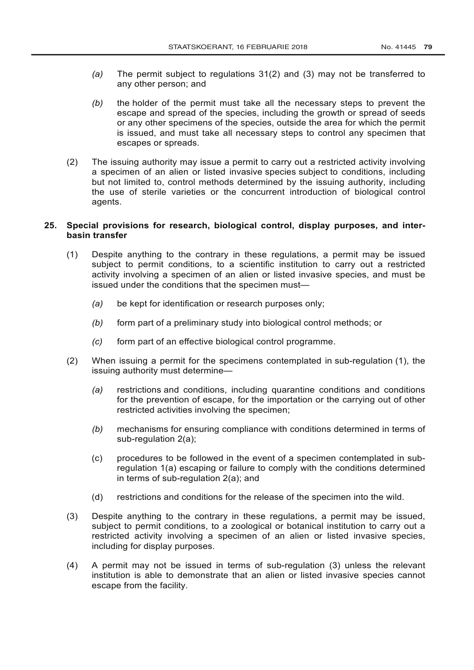- *(a)* The permit subject to regulations 31(2) and (3) may not be transferred to any other person; and
- *(b)* the holder of the permit must take all the necessary steps to prevent the escape and spread of the species, including the growth or spread of seeds or any other specimens of the species, outside the area for which the permit is issued, and must take all necessary steps to control any specimen that escapes or spreads.
- (2) The issuing authority may issue a permit to carry out a restricted activity involving a specimen of an alien or listed invasive species subject to conditions, including but not limited to, control methods determined by the issuing authority, including the use of sterile varieties or the concurrent introduction of biological control agents.

## **25. Special provisions for research, biological control, display purposes, and interbasin transfer**

- (1) Despite anything to the contrary in these regulations, a permit may be issued subject to permit conditions, to a scientific institution to carry out a restricted activity involving a specimen of an alien or listed invasive species, and must be issued under the conditions that the specimen must—
	- *(a)* be kept for identification or research purposes only;
	- *(b)* form part of a preliminary study into biological control methods; or
	- *(c)* form part of an effective biological control programme.
- (2) When issuing a permit for the specimens contemplated in sub-regulation (1), the issuing authority must determine—
	- *(a)* restrictions and conditions, including quarantine conditions and conditions for the prevention of escape, for the importation or the carrying out of other restricted activities involving the specimen;
	- *(b)* mechanisms for ensuring compliance with conditions determined in terms of sub-regulation 2(a);
	- (c) procedures to be followed in the event of a specimen contemplated in subregulation 1(a) escaping or failure to comply with the conditions determined in terms of sub-regulation 2(a); and
	- (d) restrictions and conditions for the release of the specimen into the wild.
- (3) Despite anything to the contrary in these regulations, a permit may be issued, subject to permit conditions, to a zoological or botanical institution to carry out a restricted activity involving a specimen of an alien or listed invasive species, including for display purposes.
- (4) A permit may not be issued in terms of sub-regulation (3) unless the relevant institution is able to demonstrate that an alien or listed invasive species cannot escape from the facility.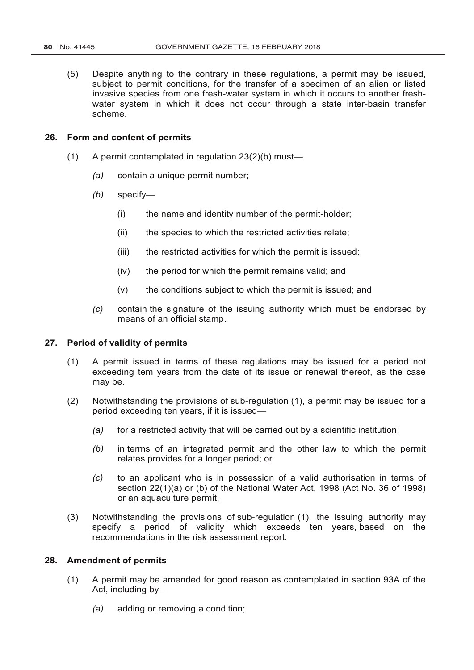(5) Despite anything to the contrary in these regulations, a permit may be issued, subject to permit conditions, for the transfer of a specimen of an alien or listed invasive species from one fresh-water system in which it occurs to another freshwater system in which it does not occur through a state inter-basin transfer scheme.

## **26. Form and content of permits**

- (1) A permit contemplated in regulation 23(2)(b) must—
	- *(a)* contain a unique permit number;
	- *(b)* specify—
		- (i) the name and identity number of the permit-holder;
		- (ii) the species to which the restricted activities relate;
		- (iii) the restricted activities for which the permit is issued;
		- (iv) the period for which the permit remains valid; and
		- (v) the conditions subject to which the permit is issued; and
	- *(c)* contain the signature of the issuing authority which must be endorsed by means of an official stamp.

#### **27. Period of validity of permits**

- (1) A permit issued in terms of these regulations may be issued for a period not exceeding tem years from the date of its issue or renewal thereof, as the case may be.
- (2) Notwithstanding the provisions of sub-regulation (1), a permit may be issued for a period exceeding ten years, if it is issued—
	- *(a)* for a restricted activity that will be carried out by a scientific institution;
	- *(b)* in terms of an integrated permit and the other law to which the permit relates provides for a longer period; or
	- *(c)* to an applicant who is in possession of a valid authorisation in terms of section 22(1)(a) or (b) of the [National Water Act,](http://www.greengazette.co.za/acts/national-water-act_1998-036) 1998 (Act No. 36 of 1998) or an aquaculture permit.
- (3) Notwithstanding the provisions of sub-regulation (1), the issuing authority may specify a period of validity which exceeds ten years, based on the recommendations in the risk assessment report.

# **28. Amendment of permits**

- (1) A permit may be amended for good reason as contemplated in section 93A of the Act, including by—
	- *(a)* adding or removing a condition;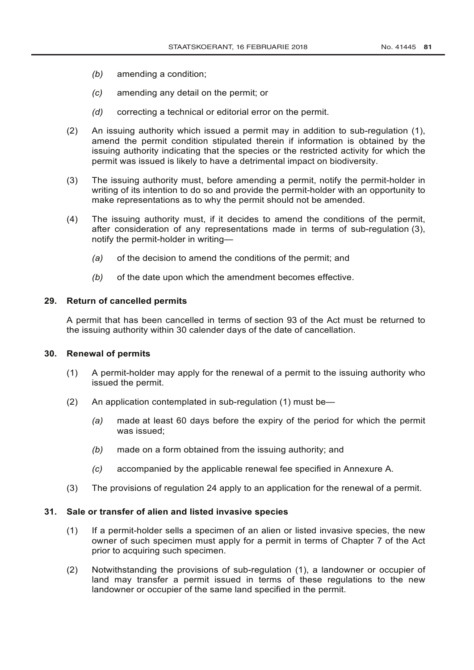- *(b)* amending a condition;
- *(c)* amending any detail on the permit; or
- *(d)* correcting a technical or editorial error on the permit.
- (2) An issuing authority which issued a permit may in addition to sub-regulation (1), amend the permit condition stipulated therein if information is obtained by the issuing authority indicating that the species or the restricted activity for which the permit was issued is likely to have a detrimental impact on biodiversity.
- (3) The issuing authority must, before amending a permit, notify the permit-holder in writing of its intention to do so and provide the permit-holder with an opportunity to make representations as to why the permit should not be amended.
- (4) The issuing authority must, if it decides to amend the conditions of the permit, after consideration of any representations made in terms of sub-regulation (3), notify the permit-holder in writing—
	- *(a)* of the decision to amend the conditions of the permit; and
	- *(b)* of the date upon which the amendment becomes effective.

#### **29. Return of cancelled permits**

A permit that has been cancelled in terms of section 93 of the Act must be returned to the issuing authority within 30 calender days of the date of cancellation.

## **30. Renewal of permits**

- (1) A permit-holder may apply for the renewal of a permit to the issuing authority who issued the permit.
- (2) An application contemplated in sub-regulation (1) must be—
	- *(a)* made at least 60 days before the expiry of the period for which the permit was issued;
	- *(b)* made on a form obtained from the issuing authority; and
	- *(c)* accompanied by the applicable renewal fee specified in Annexure A.
- (3) The provisions of regulation 24 apply to an application for the renewal of a permit.

## **31. Sale or transfer of alien and listed invasive species**

- (1) If a permit-holder sells a specimen of an alien or listed invasive species, the new owner of such specimen must apply for a permit in terms of Chapter 7 of the Act prior to acquiring such specimen.
- (2) Notwithstanding the provisions of sub-regulation (1), a landowner or occupier of land may transfer a permit issued in terms of these regulations to the new landowner or occupier of the same land specified in the permit.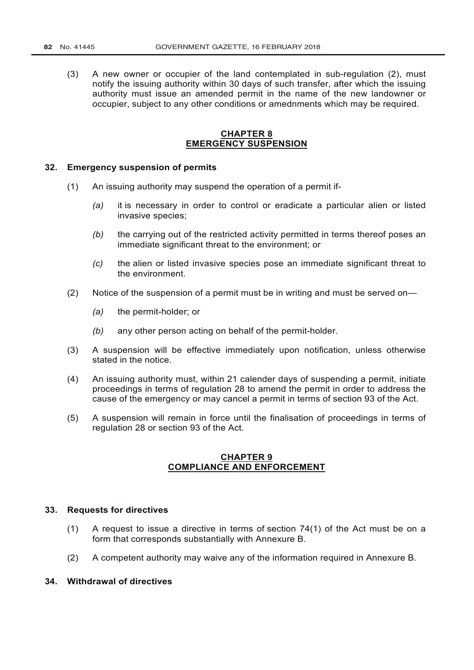(3) A new owner or occupier of the land contemplated in sub-regulation (2), must notify the issuing authority within 30 days of such transfer, after which the issuing authority must issue an amended permit in the name of the new landowner or occupier, subject to any other conditions or amednments which may be required.

# **CHAPTER 8 EMERGENCY SUSPENSION**

#### **32. Emergency suspension of permits**

- (1) An issuing authority may suspend the operation of a permit if-
	- *(a)* it is necessary in order to control or eradicate a particular alien or listed invasive species;
	- *(b)* the carrying out of the restricted activity permitted in terms thereof poses an immediate significant threat to the environment; or
	- *(c)* the alien or listed invasive species pose an immediate significant threat to the environment.
- (2) Notice of the suspension of a permit must be in writing and must be served on—
	- *(a)* the permit-holder; or
	- *(b)* any other person acting on behalf of the permit-holder.
- (3) A suspension will be effective immediately upon notification, unless otherwise stated in the notice.
- (4) An issuing authority must, within 21 calender days of suspending a permit, initiate proceedings in terms of regulation 28 to amend the permit in order to address the cause of the emergency or may cancel a permit in terms of section 93 of the Act.
- (5) A suspension will remain in force until the finalisation of proceedings in terms of regulation 28 or section 93 of the Act.

## **CHAPTER 9 COMPLIANCE AND ENFORCEMENT**

#### **33. Requests for directives**

- (1) A request to issue a directive in terms of section 74(1) of the Act must be on a form that corresponds substantially with Annexure B.
- (2) A competent authority may waive any of the information required in Annexure B.

# **34. Withdrawal of directives**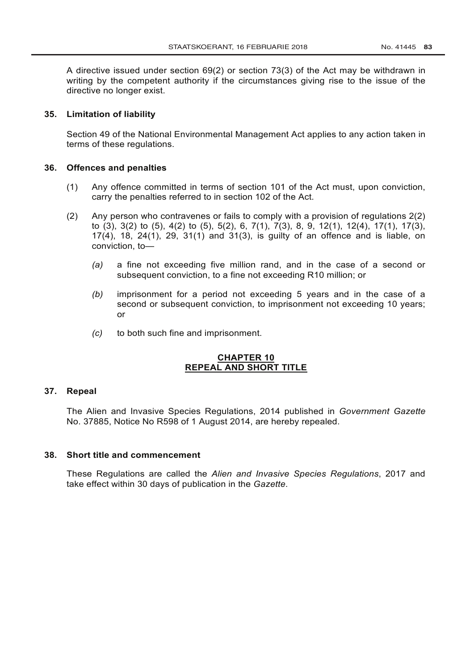A directive issued under section 69(2) or section 73(3) of the Act may be withdrawn in writing by the competent authority if the circumstances giving rise to the issue of the directive no longer exist.

## **35. Limitation of liability**

Section 49 of the [National Environmental Management Act](http://www.greengazette.co.za/acts/national-environmental-management-act_1998-107) applies to any action taken in terms of these regulations.

## **36. Offences and penalties**

- (1) Any offence committed in terms of section 101 of the Act must, upon conviction, carry the penalties referred to in section 102 of the Act.
- (2) Any person who contravenes or fails to comply with a provision of regulations 2(2) to (3), 3(2) to (5), 4(2) to (5), 5(2), 6, 7(1), 7(3), 8, 9, 12(1), 12(4), 17(1), 17(3), 17(4), 18, 24(1), 29, 31(1) and 31(3), is guilty of an offence and is liable, on conviction, to—
	- *(a)* a fine not exceeding five million rand, and in the case of a second or subsequent conviction, to a fine not exceeding R10 million; or
	- *(b)* imprisonment for a period not exceeding 5 years and in the case of a second or subsequent conviction, to imprisonment not exceeding 10 years; or
	- *(c)* to both such fine and imprisonment.

# **CHAPTER 10 REPEAL AND SHORT TITLE**

## **37. Repeal**

The Alien and Invasive Species Regulations, 2014 published in *[Government Gazette](http://www.greengazette.co.za/government-gazette)* No. 37885, Notice No R598 of 1 August 2014, are hereby repealed.

## **38. Short title and commencement**

These Regulations are called the *Alien and Invasive Species Regulations*, 2017 and take effect within 30 days of publication in the *Gazette*.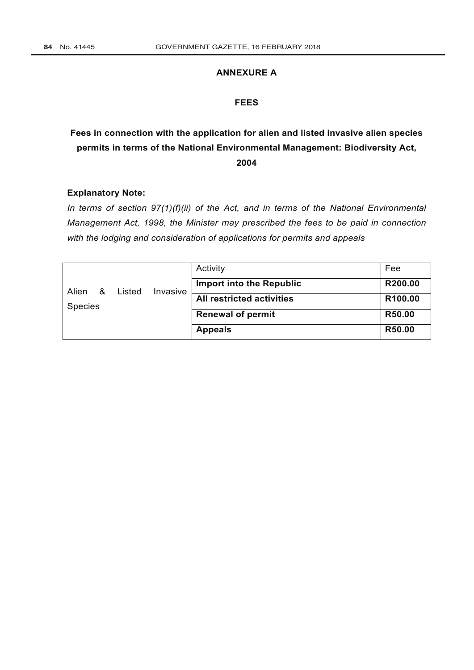# **ANNEXURE A**

# **FEES**

# **Fees in connection with the application for alien and listed invasive alien species permits in terms of the National Environmental Management: Biodiversity Act, 2004**

## **Explanatory Note:**

*In terms of section 97(1)(f)(ii) of the Act, and in terms of the [National Environmental](http://www.greengazette.co.za/acts/national-environmental-management-act_1998-107) [Management Act,](http://www.greengazette.co.za/acts/national-environmental-management-act_1998-107) 1998, the Minister may prescribed the fees to be paid in connection with the lodging and consideration of applications for permits and appeals*

| Alien<br>&<br><b>Species</b> |        | Invasive | Activity                         | Fee     |
|------------------------------|--------|----------|----------------------------------|---------|
|                              | Listed |          | <b>Import into the Republic</b>  | R200.00 |
|                              |        |          | <b>All restricted activities</b> | R100.00 |
|                              |        |          | <b>Renewal of permit</b>         | R50.00  |
|                              |        |          | <b>Appeals</b>                   | R50.00  |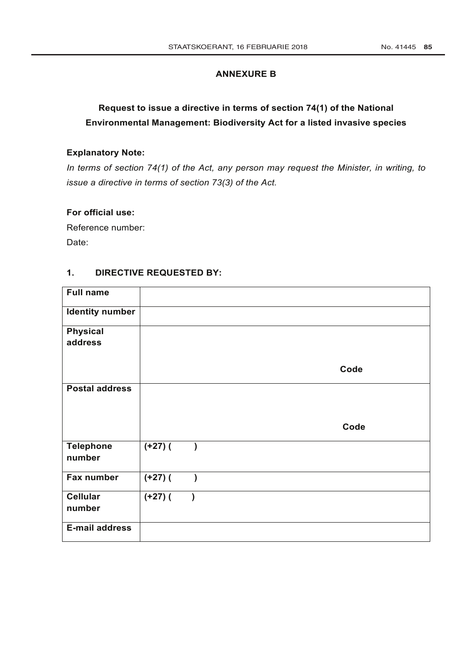## **ANNEXURE B**

# **Request to issue a directive in terms of section 74(1) of the National Environmental Management: Biodiversity Act for a listed invasive species**

# **Explanatory Note:**

*In terms of section 74(1) of the Act, any person may request the Minister, in writing, to issue a directive in terms of section 73(3) of the Act.*

## **For official use:**

Reference number: Date:

## **1. DIRECTIVE REQUESTED BY:**

| <b>Full name</b>           |            |           |      |
|----------------------------|------------|-----------|------|
| <b>Identity number</b>     |            |           |      |
| <b>Physical</b>            |            |           |      |
| address                    |            |           |      |
|                            |            |           | Code |
| <b>Postal address</b>      |            |           |      |
|                            |            |           |      |
|                            |            |           |      |
|                            |            |           | Code |
| <b>Telephone</b><br>number | $(1+27)$ ( |           |      |
| Fax number                 | $(+27)$ (  | $\lambda$ |      |
| <b>Cellular</b><br>number  | $(+27)$ (  |           |      |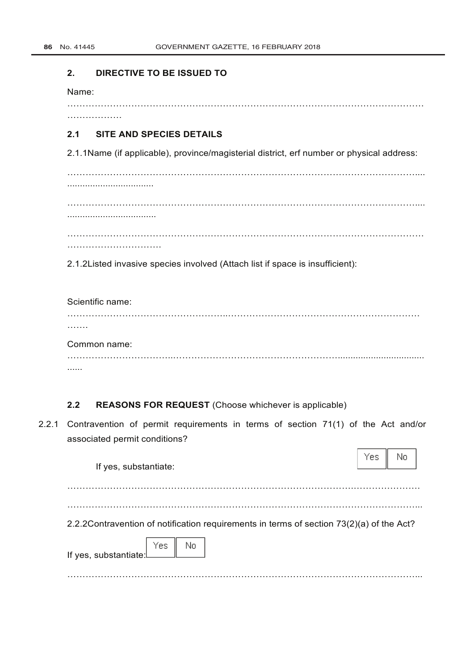#### **2. DIRECTIVE TO BE ISSUED TO**

Name:

………………

………………………………………………………………………………………………………

# **2.1 SITE AND SPECIES DETAILS**

2.1.1Name (if applicable), province/magisterial district, erf number or physical address:

…………………………………………………………………………………………………….... .................................. …………………………………………………………………………………………………….... ................................... ………………………………………………………………………………………………………

………………………….

2.1.2Listed invasive species involved (Attach list if space is insufficient):

Scientific name: ……………………………………………..……………………………………………………… ……. Common name:

……………………………..……………………………………………….................................. ......

# **2.2 REASONS FOR REQUEST** (Choose whichever is applicable)

2.2.1 Contravention of permit requirements in terms of section 71(1) of the Act and/or associated permit conditions?

| If yes, substantiate:                                                                     | Yesi | No |
|-------------------------------------------------------------------------------------------|------|----|
| 2.2.2 Contravention of notification requirements in terms of section 73(2)(a) of the Act? |      |    |
| If yes, substantiate. The No                                                              |      |    |